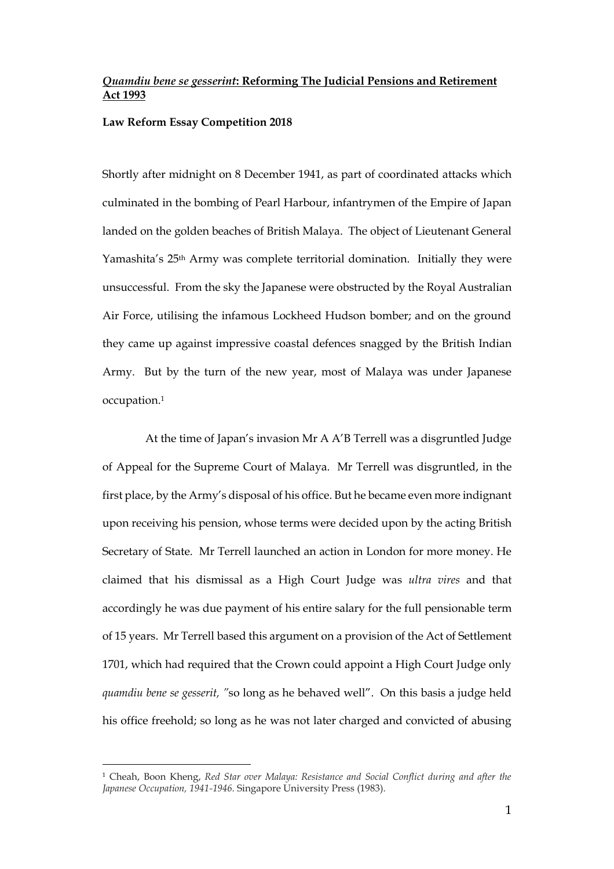# *Quamdiu bene se gesserint***: Reforming The Judicial Pensions and Retirement Act 1993**

#### **Law Reform Essay Competition 2018**

Shortly after midnight on 8 December 1941, as part of coordinated attacks which culminated in the bombing of Pearl Harbour, infantrymen of the Empire of Japan landed on the golden beaches of British Malaya. The object of Lieutenant General Yamashita's 25th Army was complete territorial domination. Initially they were unsuccessful. From the sky the Japanese were obstructed by the Royal Australian Air Force, utilising the infamous Lockheed Hudson bomber; and on the ground they came up against impressive coastal defences snagged by the British Indian Army. But by the turn of the new year, most of Malaya was under Japanese occupation.<sup>1</sup>

 At the time of Japan's invasion Mr A A'B Terrell was a disgruntled Judge of Appeal for the Supreme Court of Malaya. Mr Terrell was disgruntled, in the first place, by the Army's disposal of his office. But he became even more indignant upon receiving his pension, whose terms were decided upon by the acting British Secretary of State. Mr Terrell launched an action in London for more money. He claimed that his dismissal as a High Court Judge was *ultra vires* and that accordingly he was due payment of his entire salary for the full pensionable term of 15 years. Mr Terrell based this argument on a provision of the Act of Settlement 1701, which had required that the Crown could appoint a High Court Judge only *quamdiu bene se gesserit, "*so long as he behaved well". On this basis a judge held his office freehold; so long as he was not later charged and convicted of abusing

<sup>1</sup> Cheah, Boon Kheng, *Red Star over Malaya: Resistance and Social Conflict during and after the Japanese Occupation, 1941-1946.* Singapore University Press (1983).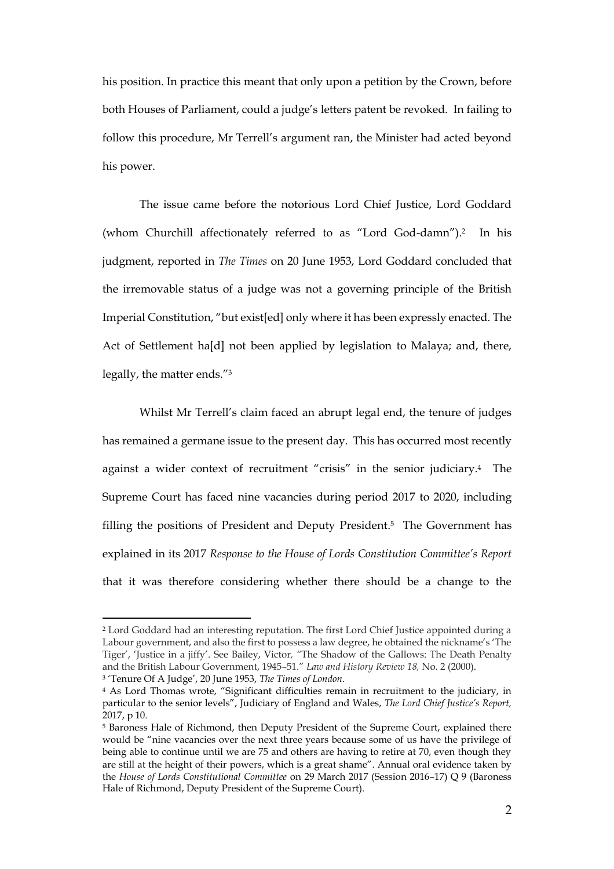his position. In practice this meant that only upon a petition by the Crown, before both Houses of Parliament, could a judge's letters patent be revoked. In failing to follow this procedure, Mr Terrell's argument ran, the Minister had acted beyond his power.

The issue came before the notorious Lord Chief Justice, Lord Goddard (whom Churchill affectionately referred to as "Lord God-damn"). <sup>2</sup> In his judgment, reported in *The Times* on 20 June 1953, Lord Goddard concluded that the irremovable status of a judge was not a governing principle of the British Imperial Constitution, "but exist[ed] only where it has been expressly enacted. The Act of Settlement ha[d] not been applied by legislation to Malaya; and, there, legally, the matter ends."<sup>3</sup>

Whilst Mr Terrell's claim faced an abrupt legal end, the tenure of judges has remained a germane issue to the present day. This has occurred most recently against a wider context of recruitment "crisis" in the senior judiciary. <sup>4</sup> The Supreme Court has faced nine vacancies during period 2017 to 2020, including filling the positions of President and Deputy President. <sup>5</sup> The Government has explained in its 2017 *Response to the House of Lords Constitution Committee's Report* that it was therefore considering whether there should be a change to the

<sup>2</sup> Lord Goddard had an interesting reputation. The first Lord Chief Justice appointed during a Labour government, and also the first to possess a law degree, he obtained the nickname's 'The Tiger', 'Justice in a jiffy'. See Bailey, Victor*, "*The Shadow of the Gallows: The Death Penalty and the British Labour Government, 1945–51." *Law and History Review 18,* No. 2 (2000). 3 'Tenure Of A Judge', 20 June 1953, *The Times of London.*

<sup>4</sup> As Lord Thomas wrote, "Significant difficulties remain in recruitment to the judiciary, in particular to the senior levels", Judiciary of England and Wales, *The Lord Chief Justice's Report,*  2017, p 10.

<sup>5</sup> Baroness Hale of Richmond, then Deputy President of the Supreme Court, explained there would be "nine vacancies over the next three years because some of us have the privilege of being able to continue until we are 75 and others are having to retire at 70, even though they are still at the height of their powers, which is a great shame". Annual oral evidence taken by the *House of Lords Constitutional Committee* on 29 March 2017 (Session 2016–17) Q 9 (Baroness Hale of Richmond, Deputy President of the Supreme Court).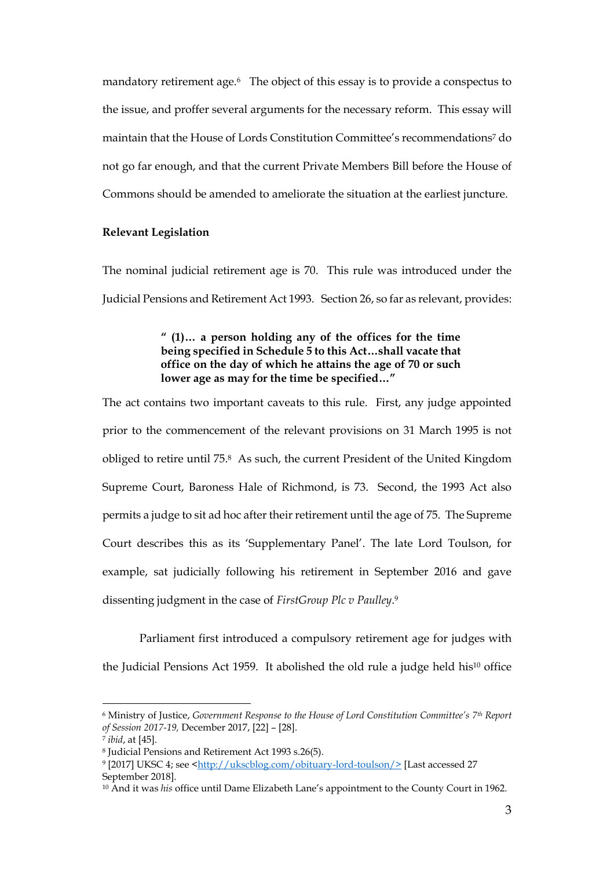mandatory retirement age.<sup>6</sup> The object of this essay is to provide a conspectus to the issue, and proffer several arguments for the necessary reform. This essay will maintain that the House of Lords Constitution Committee's recommendations<sup>7</sup> do not go far enough, and that the current Private Members Bill before the House of Commons should be amended to ameliorate the situation at the earliest juncture.

### **Relevant Legislation**

The nominal judicial retirement age is 70. This rule was introduced under the Judicial Pensions and Retirement Act 1993. Section 26, so far as relevant, provides:

# **" (1)… a person holding any of the offices for the time being specified in Schedule 5 to this Act…shall vacate that office on the day of which he attains the age of 70 or such lower age as may for the time be specified…"**

The act contains two important caveats to this rule. First, any judge appointed prior to the commencement of the relevant provisions on 31 March 1995 is not obliged to retire until 75.<sup>8</sup> As such, the current President of the United Kingdom Supreme Court, Baroness Hale of Richmond, is 73. Second, the 1993 Act also permits a judge to sit ad hoc after their retirement until the age of 75. The Supreme Court describes this as its 'Supplementary Panel'. The late Lord Toulson, for example, sat judicially following his retirement in September 2016 and gave dissenting judgment in the case of *FirstGroup Plc v Paulley*. 9

Parliament first introduced a compulsory retirement age for judges with the Judicial Pensions Act 1959. It abolished the old rule a judge held his<sup>10</sup> office

<sup>6</sup> Ministry of Justice, *Government Response to the House of Lord Constitution Committee's 7th Report of Session 2017-19,* December 2017, [22] – [28].

<sup>7</sup> *ibid*, at [45].

<sup>8</sup> Judicial Pensions and Retirement Act 1993 s.26(5).

<sup>&</sup>lt;sup>9</sup> [2017] UKSC 4; see <<u>http://ukscblog.com/obituary-lord-toulson/></u> [Last accessed 27 September 2018].

<sup>10</sup> And it was *his* office until Dame Elizabeth Lane's appointment to the County Court in 1962.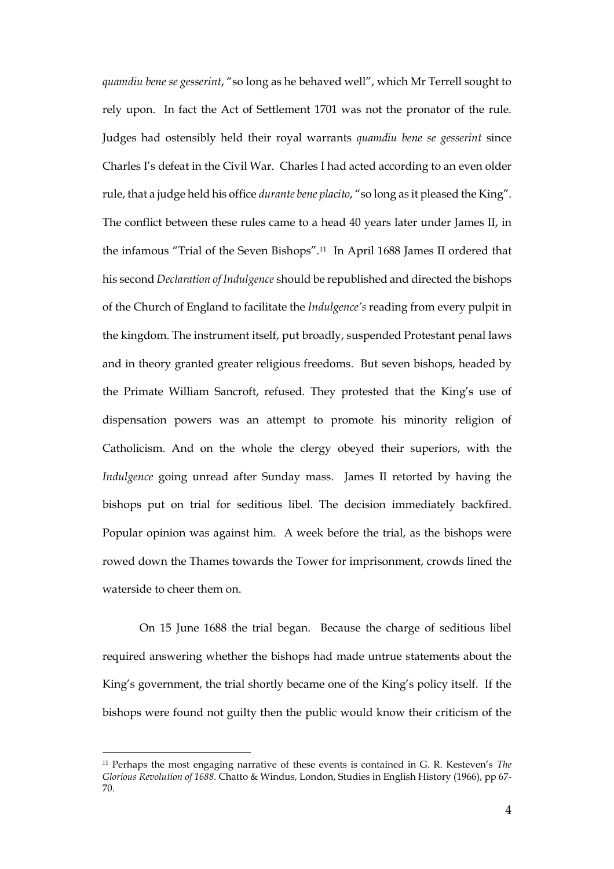*quamdiu bene se gesserint*, "so long as he behaved well", which Mr Terrell sought to rely upon. In fact the Act of Settlement 1701 was not the pronator of the rule. Judges had ostensibly held their royal warrants *quamdiu bene se gesserint* since Charles I's defeat in the Civil War. Charles I had acted according to an even older rule, that a judge held his office *durante bene placito*, "so long as it pleased the King". The conflict between these rules came to a head 40 years later under James II, in the infamous "Trial of the Seven Bishops". <sup>11</sup> In April 1688 James II ordered that his second *Declaration of Indulgence* should be republished and directed the bishops of the Church of England to facilitate the *Indulgence's* reading from every pulpit in the kingdom. The instrument itself, put broadly, suspended Protestant penal laws and in theory granted greater religious freedoms. But seven bishops, headed by the Primate William Sancroft, refused. They protested that the King's use of dispensation powers was an attempt to promote his minority religion of Catholicism. And on the whole the clergy obeyed their superiors, with the *Indulgence* going unread after Sunday mass. James II retorted by having the bishops put on trial for seditious libel. The decision immediately backfired. Popular opinion was against him. A week before the trial, as the bishops were rowed down the Thames towards the Tower for imprisonment, crowds lined the waterside to cheer them on.

On 15 June 1688 the trial began. Because the charge of seditious libel required answering whether the bishops had made untrue statements about the King's government, the trial shortly became one of the King's policy itself. If the bishops were found not guilty then the public would know their criticism of the

<sup>11</sup> Perhaps the most engaging narrative of these events is contained in G. R. Kesteven's *The Glorious Revolution of 1688.* Chatto & Windus, London, Studies in English History (1966), pp 67- 70.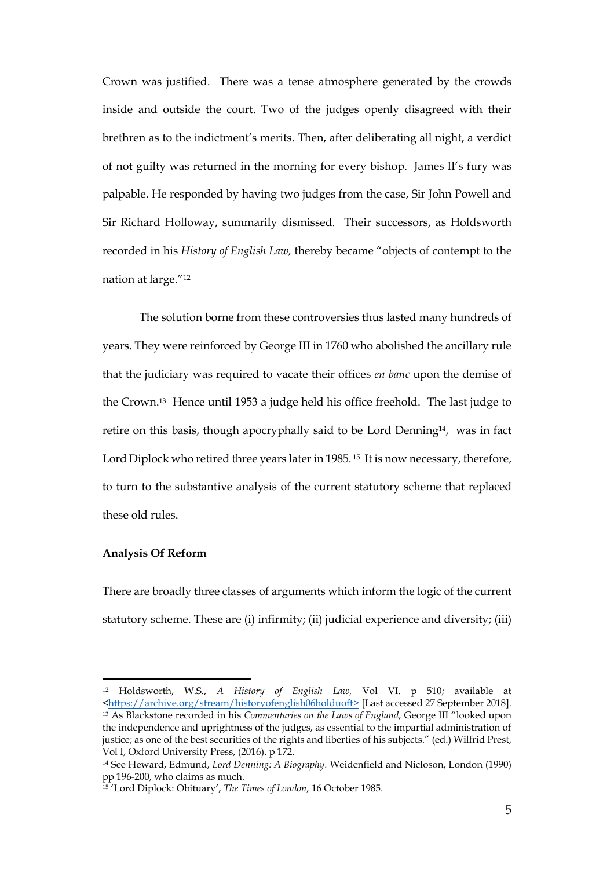Crown was justified. There was a tense atmosphere generated by the crowds inside and outside the court. Two of the judges openly disagreed with their brethren as to the indictment's merits. Then, after deliberating all night, a verdict of not guilty was returned in the morning for every bishop. James II's fury was palpable. He responded by having two judges from the case, Sir John Powell and Sir Richard Holloway, summarily dismissed. Their successors, as Holdsworth recorded in his *History of English Law,* thereby became "objects of contempt to the nation at large."<sup>12</sup>

The solution borne from these controversies thus lasted many hundreds of years. They were reinforced by George III in 1760 who abolished the ancillary rule that the judiciary was required to vacate their offices *en banc* upon the demise of the Crown.<sup>13</sup> Hence until 1953 a judge held his office freehold. The last judge to retire on this basis, though apocryphally said to be Lord Denning<sup>14</sup>, was in fact Lord Diplock who retired three years later in 1985.<sup>15</sup> It is now necessary, therefore, to turn to the substantive analysis of the current statutory scheme that replaced these old rules.

### **Analysis Of Reform**

 $\overline{a}$ 

There are broadly three classes of arguments which inform the logic of the current statutory scheme. These are (i) infirmity; (ii) judicial experience and diversity; (iii)

<sup>12</sup> Holdsworth, W.S., *A History of English Law,* Vol VI. p 510; available at <https://archive.org/stream/historyofenglish06holduoft> [Last accessed 27 September 2018]. <sup>13</sup> As Blackstone recorded in his *Commentaries on the Laws of England,* George III "looked upon the independence and uprightness of the judges, as essential to the impartial administration of justice; as one of the best securities of the rights and liberties of his subjects." (ed.) Wilfrid Prest, Vol I, Oxford University Press, (2016). p 172.

<sup>14</sup> See Heward, Edmund, *Lord Denning: A Biography.* Weidenfield and Nicloson, London (1990) pp 196-200, who claims as much.

<sup>15</sup> 'Lord Diplock: Obituary', *The Times of London,* 16 October 1985.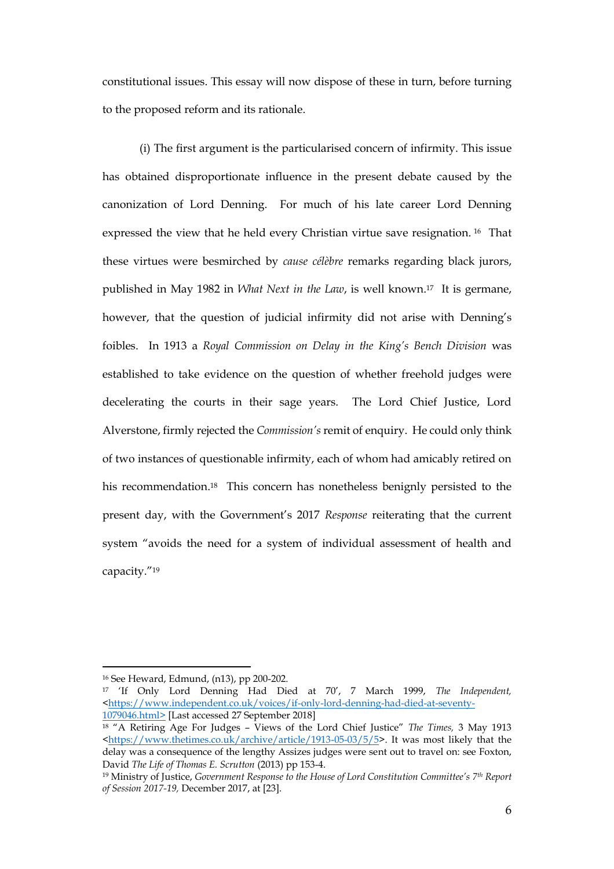constitutional issues. This essay will now dispose of these in turn, before turning to the proposed reform and its rationale.

(i) The first argument is the particularised concern of infirmity. This issue has obtained disproportionate influence in the present debate caused by the canonization of Lord Denning. For much of his late career Lord Denning expressed the view that he held every Christian virtue save resignation. <sup>16</sup> That these virtues were besmirched by *cause célèbre* remarks regarding black jurors, published in May 1982 in *What Next in the Law*, is well known.17 It is germane, however, that the question of judicial infirmity did not arise with Denning's foibles. In 1913 a *Royal Commission on Delay in the King's Bench Division* was established to take evidence on the question of whether freehold judges were decelerating the courts in their sage years. The Lord Chief Justice, Lord Alverstone, firmly rejected the *Commission's* remit of enquiry. He could only think of two instances of questionable infirmity, each of whom had amicably retired on his recommendation.<sup>18</sup> This concern has nonetheless benignly persisted to the present day, with the Government's 2017 *Response* reiterating that the current system "avoids the need for a system of individual assessment of health and capacity."<sup>19</sup>

<sup>16</sup> See Heward, Edmund, (n13), pp 200-202.

<sup>17</sup> 'If Only Lord Denning Had Died at 70', 7 March 1999, *The Independent,*  <https://www.independent.co.uk/voices/if-only-lord-denning-had-died-at-seventy-1079046.html> [Last accessed 27 September 2018]

<sup>18</sup> "A Retiring Age For Judges – Views of the Lord Chief Justice" *The Times,* 3 May 1913 <https://www.thetimes.co.uk/archive/article/1913-05-03/5/5>. It was most likely that the delay was a consequence of the lengthy Assizes judges were sent out to travel on: see Foxton, David *The Life of Thomas E. Scrutton* (2013) pp 153-4.

<sup>19</sup> Ministry of Justice, *Government Response to the House of Lord Constitution Committee's 7th Report of Session 2017-19,* December 2017, at [23].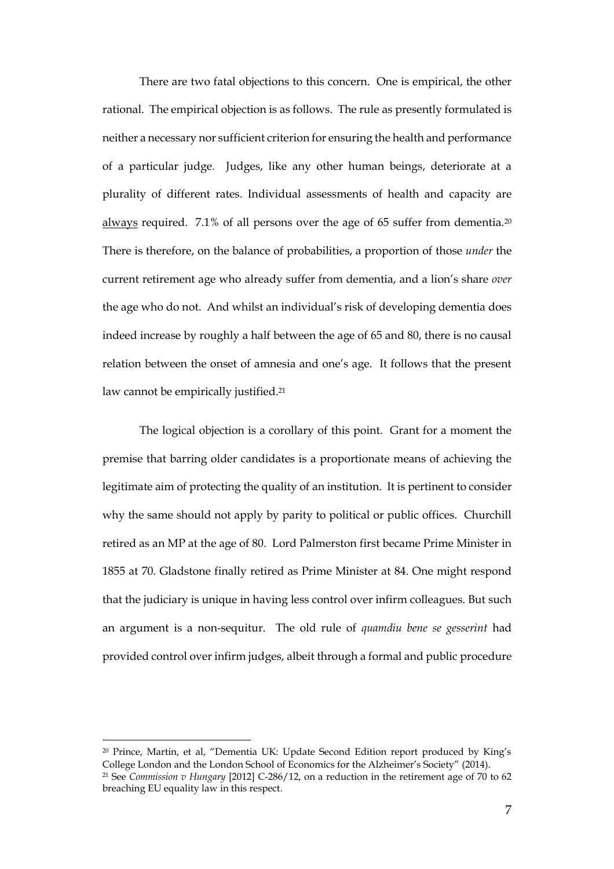There are two fatal objections to this concern. One is empirical, the other rational. The empirical objection is as follows. The rule as presently formulated is neither a necessary nor sufficient criterion for ensuring the health and performance of a particular judge. Judges, like any other human beings, deteriorate at a plurality of different rates. Individual assessments of health and capacity are always required. 7.1% of all persons over the age of 65 suffer from dementia.<sup>20</sup> There is therefore, on the balance of probabilities, a proportion of those *under* the current retirement age who already suffer from dementia, and a lion's share *over*  the age who do not. And whilst an individual's risk of developing dementia does indeed increase by roughly a half between the age of 65 and 80, there is no causal relation between the onset of amnesia and one's age. It follows that the present law cannot be empirically justified. 21

The logical objection is a corollary of this point. Grant for a moment the premise that barring older candidates is a proportionate means of achieving the legitimate aim of protecting the quality of an institution. It is pertinent to consider why the same should not apply by parity to political or public offices. Churchill retired as an MP at the age of 80. Lord Palmerston first became Prime Minister in 1855 at 70. Gladstone finally retired as Prime Minister at 84. One might respond that the judiciary is unique in having less control over infirm colleagues. But such an argument is a non-sequitur. The old rule of *quamdiu bene se gesserint* had provided control over infirm judges, albeit through a formal and public procedure

<sup>20</sup> Prince, Martin, et al, "Dementia UK: Update Second Edition report produced by King's College London and the London School of Economics for the Alzheimer's Society" (2014). <sup>21</sup> See *Commission v Hungary* [2012] C-286/12, on a reduction in the retirement age of 70 to 62 breaching EU equality law in this respect.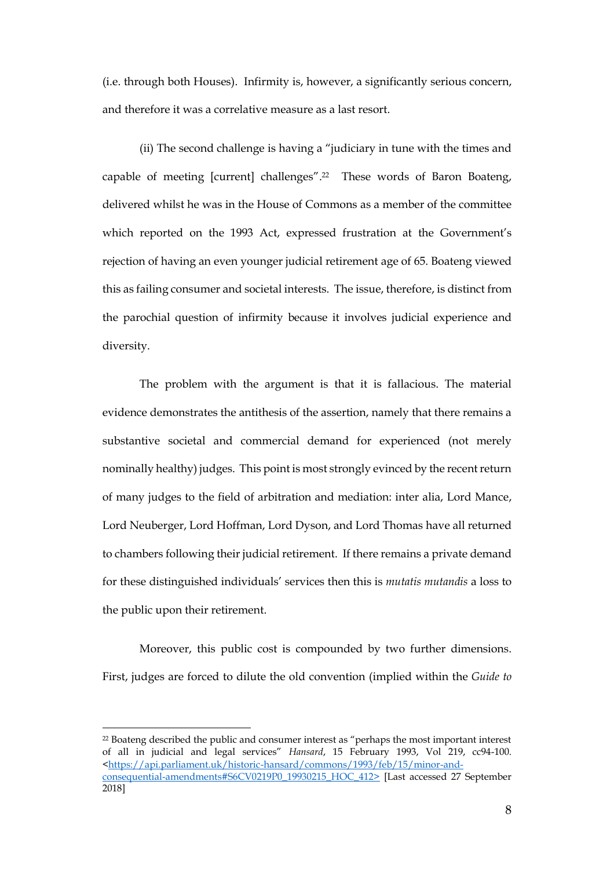(i.e. through both Houses). Infirmity is, however, a significantly serious concern, and therefore it was a correlative measure as a last resort.

(ii) The second challenge is having a "judiciary in tune with the times and capable of meeting [current] challenges". <sup>22</sup> These words of Baron Boateng, delivered whilst he was in the House of Commons as a member of the committee which reported on the 1993 Act, expressed frustration at the Government's rejection of having an even younger judicial retirement age of 65. Boateng viewed this as failing consumer and societal interests. The issue, therefore, is distinct from the parochial question of infirmity because it involves judicial experience and diversity.

The problem with the argument is that it is fallacious. The material evidence demonstrates the antithesis of the assertion, namely that there remains a substantive societal and commercial demand for experienced (not merely nominally healthy) judges. This point is most strongly evinced by the recent return of many judges to the field of arbitration and mediation: inter alia, Lord Mance, Lord Neuberger, Lord Hoffman, Lord Dyson, and Lord Thomas have all returned to chambers following their judicial retirement. If there remains a private demand for these distinguished individuals' services then this is *mutatis mutandis* a loss to the public upon their retirement.

Moreover, this public cost is compounded by two further dimensions. First, judges are forced to dilute the old convention (implied within the *Guide to* 

<sup>&</sup>lt;sup>22</sup> Boateng described the public and consumer interest as "perhaps the most important interest of all in judicial and legal services" *Hansard*, 15 February 1993, Vol 219, cc94-100. <https://api.parliament.uk/historic-hansard/commons/1993/feb/15/minor-andconsequential-amendments#S6CV0219P0\_19930215\_HOC\_412> [Last accessed 27 September 2018]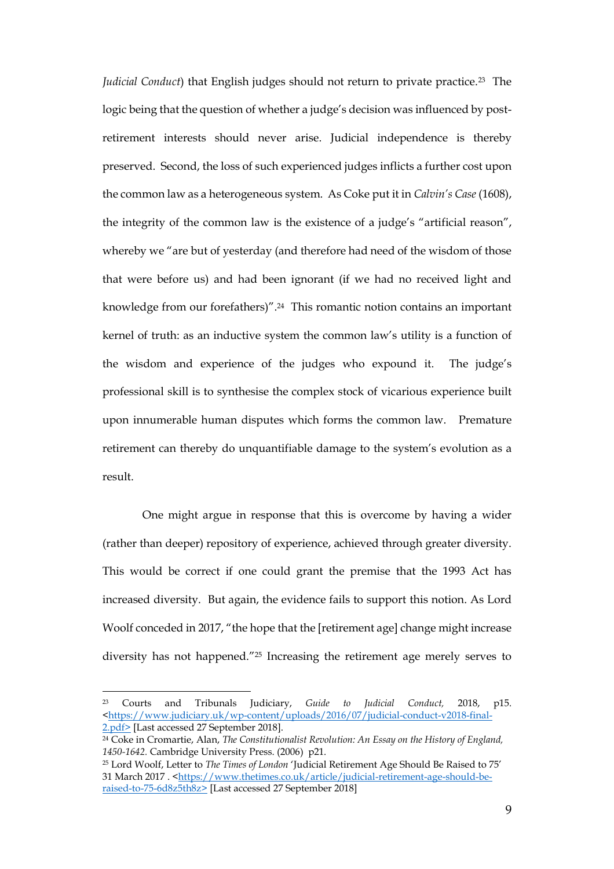*Judicial Conduct*) that English judges should not return to private practice.<sup>23</sup> The logic being that the question of whether a judge's decision was influenced by postretirement interests should never arise. Judicial independence is thereby preserved. Second, the loss of such experienced judges inflicts a further cost upon the common law as a heterogeneous system. As Coke put it in *Calvin's Case* (1608), the integrity of the common law is the existence of a judge's "artificial reason", whereby we "are but of yesterday (and therefore had need of the wisdom of those that were before us) and had been ignorant (if we had no received light and knowledge from our forefathers)".24 This romantic notion contains an important kernel of truth: as an inductive system the common law's utility is a function of the wisdom and experience of the judges who expound it. The judge's professional skill is to synthesise the complex stock of vicarious experience built upon innumerable human disputes which forms the common law. Premature retirement can thereby do unquantifiable damage to the system's evolution as a result.

One might argue in response that this is overcome by having a wider (rather than deeper) repository of experience, achieved through greater diversity. This would be correct if one could grant the premise that the 1993 Act has increased diversity. But again, the evidence fails to support this notion. As Lord Woolf conceded in 2017, "the hope that the [retirement age] change might increase diversity has not happened."<sup>25</sup> Increasing the retirement age merely serves to

<sup>23</sup> Courts and Tribunals Judiciary, *Guide to Judicial Conduct,* 2018, p15. <https://www.judiciary.uk/wp-content/uploads/2016/07/judicial-conduct-v2018-final-2.pdf> [Last accessed 27 September 2018].

<sup>&</sup>lt;sup>24</sup> Coke in Cromartie, Alan, *The Constitutionalist Revolution: An Essay on the History of England, 1450-1642.* Cambridge University Press. (2006) p21.

<sup>25</sup> Lord Woolf, Letter to *The Times of London* 'Judicial Retirement Age Should Be Raised to 75' 31 March 2017 . <https://www.thetimes.co.uk/article/judicial-retirement-age-should-beraised-to-75-6d8z5th8z> [Last accessed 27 September 2018]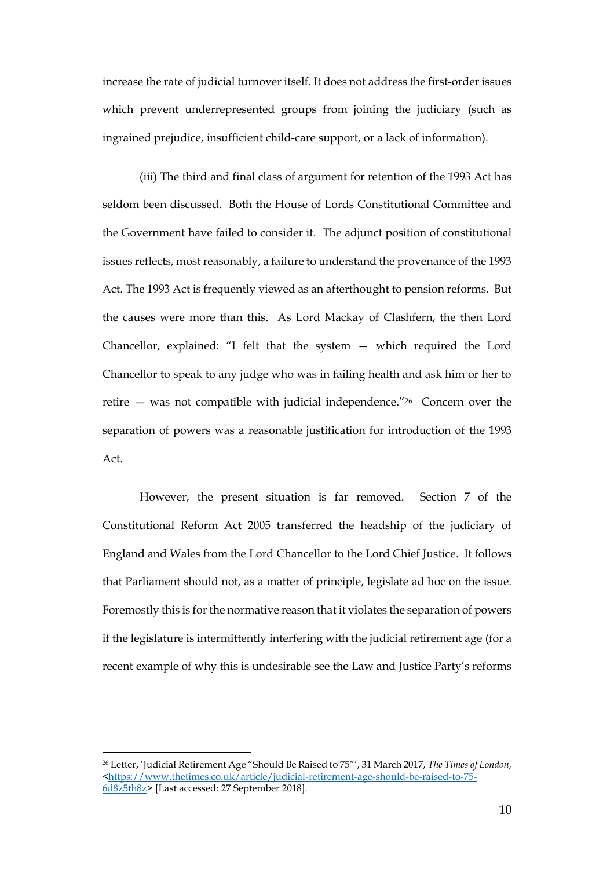increase the rate of judicial turnover itself. It does not address the first-order issues which prevent underrepresented groups from joining the judiciary (such as ingrained prejudice, insufficient child-care support, or a lack of information).

(iii) The third and final class of argument for retention of the 1993 Act has seldom been discussed. Both the House of Lords Constitutional Committee and the Government have failed to consider it. The adjunct position of constitutional issues reflects, most reasonably, a failure to understand the provenance of the 1993 Act. The 1993 Act is frequently viewed as an afterthought to pension reforms. But the causes were more than this. As Lord Mackay of Clashfern, the then Lord Chancellor, explained: "I felt that the system — which required the Lord Chancellor to speak to any judge who was in failing health and ask him or her to retire — was not compatible with judicial independence."<sup>26</sup> Concern over the separation of powers was a reasonable justification for introduction of the 1993 Act.

However, the present situation is far removed. Section 7 of the Constitutional Reform Act 2005 transferred the headship of the judiciary of England and Wales from the Lord Chancellor to the Lord Chief Justice. It follows that Parliament should not, as a matter of principle, legislate ad hoc on the issue. Foremostly this is for the normative reason that it violates the separation of powers if the legislature is intermittently interfering with the judicial retirement age (for a recent example of why this is undesirable see the Law and Justice Party's reforms

<sup>26</sup> Letter, 'Judicial Retirement Age "Should Be Raised to 75"', 31 March 2017, *The Times of London,* <https://www.thetimes.co.uk/article/judicial-retirement-age-should-be-raised-to-75- 6d8z5th8z> [Last accessed: 27 September 2018].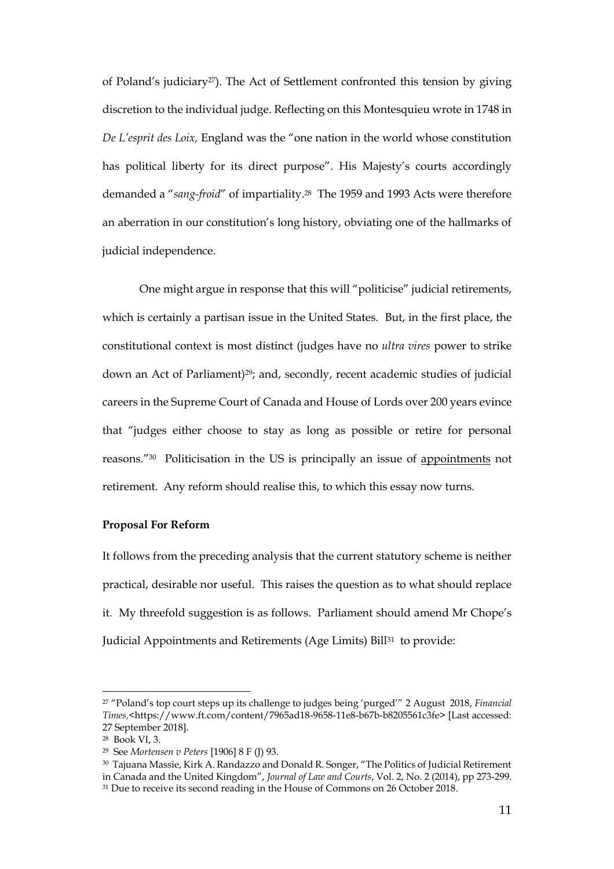of Poland's judiciary<sup>27</sup>). The Act of Settlement confronted this tension by giving discretion to the individual judge. Reflecting on this Montesquieu wrote in 1748 in *De L'esprit des Loix,* England was the "one nation in the world whose constitution has political liberty for its direct purpose". His Majesty's courts accordingly demanded a "*sang-froid*" of impartiality.<sup>28</sup> The 1959 and 1993 Acts were therefore an aberration in our constitution's long history, obviating one of the hallmarks of judicial independence.

One might argue in response that this will "politicise" judicial retirements, which is certainly a partisan issue in the United States. But, in the first place, the constitutional context is most distinct (judges have no *ultra vires* power to strike down an Act of Parliament)<sup>29</sup>; and, secondly, recent academic studies of judicial careers in the Supreme Court of Canada and House of Lords over 200 years evince that "judges either choose to stay as long as possible or retire for personal reasons."30 Politicisation in the US is principally an issue of appointments not retirement. Any reform should realise this, to which this essay now turns.

### **Proposal For Reform**

It follows from the preceding analysis that the current statutory scheme is neither practical, desirable nor useful. This raises the question as to what should replace it. My threefold suggestion is as follows. Parliament should amend Mr Chope's Judicial Appointments and Retirements (Age Limits) Bill<sup>31</sup> to provide:

<sup>27</sup> "Poland's top court steps up its challenge to judges being 'purged'" 2 August 2018, *Financial Times,*<https://www.ft.com/content/7965ad18-9658-11e8-b67b-b8205561c3fe> [Last accessed: 27 September 2018].

<sup>28</sup> Book VI, 3.

<sup>29</sup> See *Mortensen v Peters* [1906] 8 F (J) 93.

 $^{\rm 30}$  Tajuana Massie, Kirk A. Randazzo and Donald R. Songer, "The Politics of Judicial Retirement in Canada and the United Kingdom", *Journal of Law and Courts*, Vol. 2, No. 2 (2014), pp 273-299. <sup>31</sup> Due to receive its second reading in the House of Commons on 26 October 2018.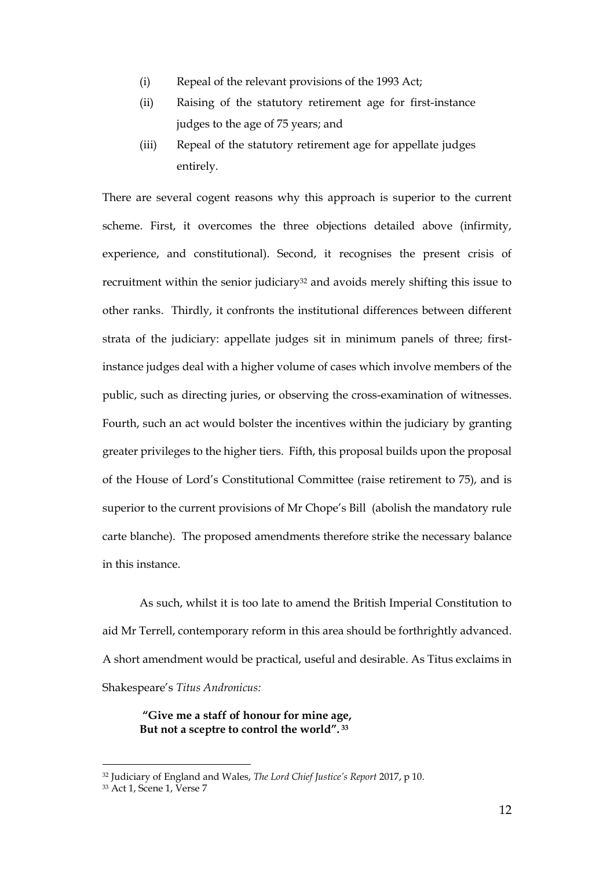- (i) Repeal of the relevant provisions of the 1993 Act;
- (ii) Raising of the statutory retirement age for first-instance judges to the age of 75 years; and
- (iii) Repeal of the statutory retirement age for appellate judges entirely.

There are several cogent reasons why this approach is superior to the current scheme. First, it overcomes the three objections detailed above (infirmity, experience, and constitutional). Second, it recognises the present crisis of recruitment within the senior judiciary<sup>32</sup> and avoids merely shifting this issue to other ranks. Thirdly, it confronts the institutional differences between different strata of the judiciary: appellate judges sit in minimum panels of three; firstinstance judges deal with a higher volume of cases which involve members of the public, such as directing juries, or observing the cross-examination of witnesses. Fourth, such an act would bolster the incentives within the judiciary by granting greater privileges to the higher tiers. Fifth, this proposal builds upon the proposal of the House of Lord's Constitutional Committee (raise retirement to 75), and is superior to the current provisions of Mr Chope's Bill (abolish the mandatory rule carte blanche). The proposed amendments therefore strike the necessary balance in this instance.

As such, whilst it is too late to amend the British Imperial Constitution to aid Mr Terrell, contemporary reform in this area should be forthrightly advanced. A short amendment would be practical, useful and desirable. As Titus exclaims in Shakespeare's *Titus Andronicus:*

**"Give me a staff of honour for mine age, But not a sceptre to control the world". <sup>33</sup>**

<sup>32</sup> Judiciary of England and Wales, *The Lord Chief Justice's Report* 2017, p 10.

<sup>33</sup> Act 1, Scene 1, Verse 7